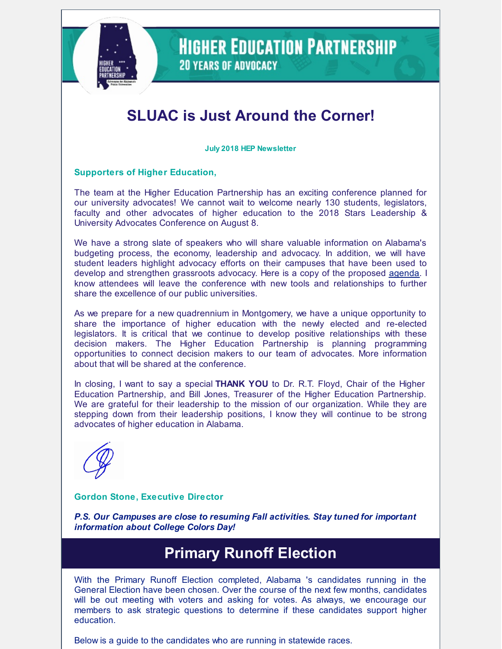

### **HIGHER EDUCATION PARTNERSHIP 20 YEARS OF ADVOCACY**

# **SLUAC is Just Around the Corner!**

**July 2018 HEP Newsletter**

#### **Supporters of Higher Education,**

The team at the Higher Education Partnership has an exciting conference planned for our university advocates! We cannot wait to welcome nearly 130 students, legislators, faculty and other advocates of higher education to the 2018 Stars Leadership & University Advocates Conference on August 8.

We have a strong slate of speakers who will share valuable information on Alabama's budgeting process, the economy, leadership and advocacy. In addition, we will have student leaders highlight advocacy efforts on their campuses that have been used to develop and strengthen grassroots advocacy. Here is a copy of the proposed [agenda](http://files.constantcontact.com/1fa65c66001/9a302710-006f-44ab-9c9f-20f8580d575b.pdf). I know attendees will leave the conference with new tools and relationships to further share the excellence of our public universities.

As we prepare for a new quadrennium in Montgomery, we have a unique opportunity to share the importance of higher education with the newly elected and re-elected legislators. It is critical that we continue to develop positive relationships with these decision makers. The Higher Education Partnership is planning programming opportunities to connect decision makers to our team of advocates. More information about that will be shared at the conference.

In closing, I want to say a special **THANK YOU** to Dr. R.T. Floyd, Chair of the Higher Education Partnership, and Bill Jones, Treasurer of the Higher Education Partnership. We are grateful for their leadership to the mission of our organization. While they are stepping down from their leadership positions, I know they will continue to be strong advocates of higher education in Alabama.

#### **Gordon Stone, Executive Director**

*P.S. Our Campuses are close to resuming Fall activities. Stay tuned for important information about College Colors Day!*

## **Primary Runoff Election**

With the Primary Runoff Election completed, Alabama 's candidates running in the General Election have been chosen. Over the course of the next few months, candidates will be out meeting with voters and asking for votes. As always, we encourage our members to ask strategic questions to determine if these candidates support higher education.

Below is a guide to the candidates who are running in statewide races.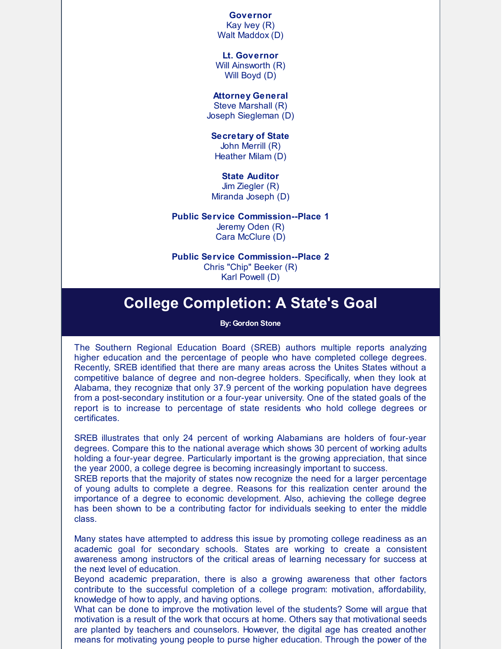**Governor** Kay Ivey (R) Walt Maddox (D)

**Lt. Governor** Will Ainsworth (R) Will Boyd (D)

**Attorney General** Steve Marshall (R)

Joseph Siegleman (D)

**Secretary of State** John Merrill (R)

Heather Milam (D)

**State Auditor**

Jim Ziegler (R) Miranda Joseph (D)

**Public Service Commission--Place 1**

Jeremy Oden (R) Cara McClure (D)

**Public Service Commission--Place 2** Chris "Chip" Beeker (R) Karl Powell (D)

### **College Completion: A State's Goal**

#### **By: Gordon Stone**

The Southern Regional Education Board (SREB) authors multiple reports analyzing higher education and the percentage of people who have completed college degrees. Recently, SREB identified that there are many areas across the Unites States without a competitive balance of degree and non-degree holders. Specifically, when they look at Alabama, they recognize that only 37.9 percent of the working population have degrees from a post-secondary institution or a four-year university. One of the stated goals of the report is to increase to percentage of state residents who hold college degrees or certificates.

SREB illustrates that only 24 percent of working Alabamians are holders of four-year degrees. Compare this to the national average which shows 30 percent of working adults holding a four-year degree. Particularly important is the growing appreciation, that since the year 2000, a college degree is becoming increasingly important to success.

SREB reports that the majority of states now recognize the need for a larger percentage of young adults to complete a degree. Reasons for this realization center around the importance of a degree to economic development. Also, achieving the college degree has been shown to be a contributing factor for individuals seeking to enter the middle class.

Many states have attempted to address this issue by promoting college readiness as an academic goal for secondary schools. States are working to create a consistent awareness among instructors of the critical areas of learning necessary for success at the next level of education.

Beyond academic preparation, there is also a growing awareness that other factors contribute to the successful completion of a college program: motivation, affordability, knowledge of how to apply, and having options.

What can be done to improve the motivation level of the students? Some will argue that motivation is a result of the work that occurs at home. Others say that motivational seeds are planted by teachers and counselors. However, the digital age has created another means for motivating young people to purse higher education. Through the power of the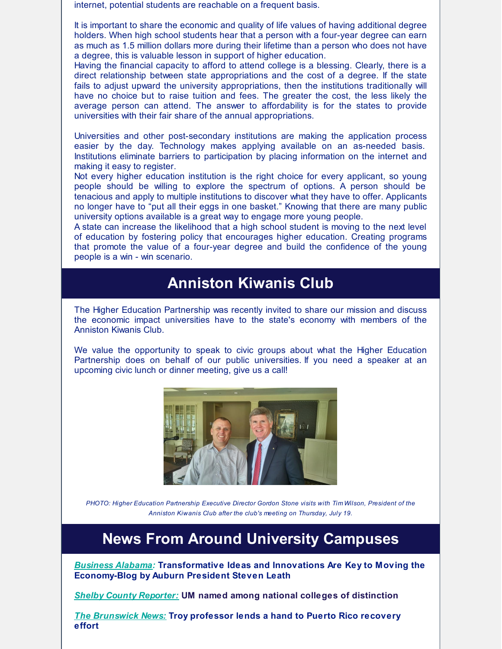internet, potential students are reachable on a frequent basis.

It is important to share the economic and quality of life values of having additional degree holders. When high school students hear that a person with a four-year degree can earn as much as 1.5 million dollars more during their lifetime than a person who does not have a degree, this is valuable lesson in support of higher education.

Having the financial capacity to afford to attend college is a blessing. Clearly, there is a direct relationship between state appropriations and the cost of a degree. If the state fails to adjust upward the university appropriations, then the institutions traditionally will have no choice but to raise tuition and fees. The greater the cost, the less likely the average person can attend. The answer to affordability is for the states to provide universities with their fair share of the annual appropriations.

Universities and other post-secondary institutions are making the application process easier by the day. Technology makes applying available on an as-needed basis. Institutions eliminate barriers to participation by placing information on the internet and making it easy to register.

Not every higher education institution is the right choice for every applicant, so young people should be willing to explore the spectrum of options. A person should be tenacious and apply to multiple institutions to discover what they have to offer. Applicants no longer have to "put all their eggs in one basket." Knowing that there are many public university options available is a great way to engage more young people.

A state can increase the likelihood that a high school student is moving to the next level of education by fostering policy that encourages higher education. Creating programs that promote the value of a four-year degree and build the confidence of the young people is a win - win scenario.

### **Anniston Kiwanis Club**

The Higher Education Partnership was recently invited to share our mission and discuss the economic impact universities have to the state's economy with members of the Anniston Kiwanis Club.

We value the opportunity to speak to civic groups about what the Higher Education Partnership does on behalf of our public universities. If you need a speaker at an upcoming civic lunch or dinner meeting, give us a call!



*PHOTO: Higher Education Partnership Executive Director Gordon Stone visits with Tim Wilson, President of the Anniston Kiwanis Club after the club's meeting on Thursday, July 19.*

### **News From Around University Campuses**

*[Business](http://www.businessalabama.com/Business-Alabama/June-2018/Transformative-Ideas-and-Innovations-Are-Key-to-Moving-the-Economy/?auhpftr) Alabama:* **Transformative Ideas and Innovations Are Key to Moving the Economy-Blog by Auburn President Steven Leath**

*Shelby County [Reporter:](https://www.shelbycountyreporter.com/2018/06/22/um-named-among-national-colleges-of-distinction/)* **UM named among national colleges of distinction**

*The [Brunswick](https://thebrunswicknews.com/news/local_news/troy-professor-lends-a-hand-to-puerto-rico-recovery-effort/article_27b1e5e4-c322-515e-82c1-0b2de3945bbb.html) News:* **Troy professor lends a hand to Puerto Rico recovery effort**